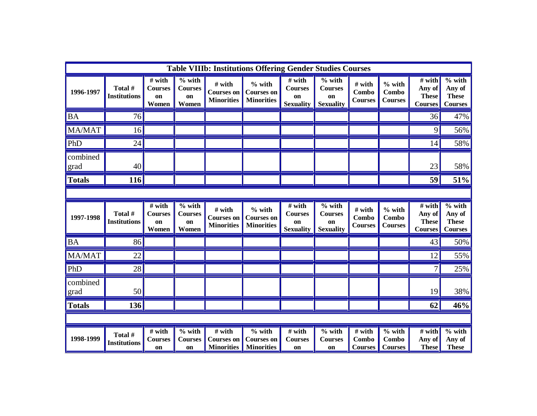| <b>Table VIIIb: Institutions Offering Gender Studies Courses</b> |                                |                                           |                                           |                                                  |                                                    |                                                    |                                                                |                                   |                                                          |                                                    |                                                      |
|------------------------------------------------------------------|--------------------------------|-------------------------------------------|-------------------------------------------|--------------------------------------------------|----------------------------------------------------|----------------------------------------------------|----------------------------------------------------------------|-----------------------------------|----------------------------------------------------------|----------------------------------------------------|------------------------------------------------------|
| 1996-1997                                                        | Total #<br><b>Institutions</b> | # with<br><b>Courses</b><br>on<br>Women   | $%$ with<br><b>Courses</b><br>on<br>Women | # with<br><b>Courses on</b><br><b>Minorities</b> | $%$ with<br><b>Courses on</b><br><b>Minorities</b> | # with<br><b>Courses</b><br>on<br><b>Sexuality</b> | $%$ with<br><b>Courses</b><br>on<br><b>Sexuality</b>           | # with<br>Combo<br><b>Courses</b> | $\%$ with<br>Combo<br><b>Courses</b>                     | # with<br>Any of<br><b>These</b><br><b>Courses</b> | $%$ with<br>Any of<br><b>These</b><br><b>Courses</b> |
| <b>BA</b>                                                        | 76                             |                                           |                                           |                                                  |                                                    |                                                    |                                                                |                                   |                                                          | 36                                                 | 47%                                                  |
| MA/MAT                                                           | 16                             |                                           |                                           |                                                  |                                                    |                                                    |                                                                |                                   |                                                          | 9                                                  | 56%                                                  |
| PhD                                                              | 24                             |                                           |                                           |                                                  |                                                    |                                                    |                                                                |                                   |                                                          | 14                                                 | 58%                                                  |
| combined<br><u>grad</u>                                          | 40                             |                                           |                                           |                                                  |                                                    |                                                    |                                                                |                                   |                                                          | 23                                                 | 58%                                                  |
| <b>Totals</b>                                                    | 116                            |                                           |                                           |                                                  |                                                    |                                                    |                                                                |                                   |                                                          | 59                                                 | 51%                                                  |
|                                                                  |                                |                                           |                                           |                                                  |                                                    |                                                    |                                                                |                                   |                                                          |                                                    |                                                      |
| 1997-1998                                                        | Total #<br><b>Institutions</b> | $#$ with<br><b>Courses</b><br>on<br>Women | $%$ with<br><b>Courses</b><br>on<br>Women | # with<br><b>Courses on</b><br><b>Minorities</b> | $%$ with<br><b>Courses on</b><br><b>Minorities</b> | $#$ with<br>Courses<br>on<br><b>Sexuality</b>      | $\frac{6}{6}$ with<br><b>Courses</b><br>on<br><b>Sexuality</b> | # with<br>Combo<br><b>Courses</b> | $%$ with<br>Combo<br><b>Courses</b>                      | # with<br>Any of<br><b>These</b><br><b>Courses</b> | $%$ with<br>Any of<br><b>These</b><br><b>Courses</b> |
| <b>BA</b>                                                        | 86                             |                                           |                                           |                                                  |                                                    |                                                    |                                                                |                                   |                                                          | 43                                                 | 50%                                                  |
| MA/MAT                                                           | 22                             |                                           |                                           |                                                  |                                                    |                                                    |                                                                |                                   |                                                          | 12                                                 | 55%                                                  |
| PhD                                                              | 28                             |                                           |                                           |                                                  |                                                    |                                                    |                                                                |                                   |                                                          | 7                                                  | 25%                                                  |
| combined<br>grad                                                 | 50                             |                                           |                                           |                                                  |                                                    |                                                    |                                                                |                                   |                                                          | 19                                                 | 38%                                                  |
| <b>Totals</b>                                                    | 136                            |                                           |                                           |                                                  |                                                    |                                                    |                                                                |                                   |                                                          | 62                                                 | 46%                                                  |
|                                                                  |                                |                                           |                                           |                                                  |                                                    |                                                    |                                                                |                                   |                                                          |                                                    |                                                      |
| 1998-1999                                                        | Total #<br>Institutions        | # with<br><b>Courses</b><br>on            | $%$ with<br><b>Courses</b><br>on          | # with<br><b>Courses on</b><br><b>Minorities</b> | $%$ with<br><b>Courses on</b><br><b>Minorities</b> | # with<br><b>Courses</b><br>on                     | $%$ with<br><b>Courses</b><br>on                               | # with<br>Combo<br><b>Courses</b> | $\overline{\frac{9}{6}}$ with<br>Combo<br><b>Courses</b> | # with<br>Any of<br><b>These</b>                   | $%$ with<br>Any of<br><b>These</b>                   |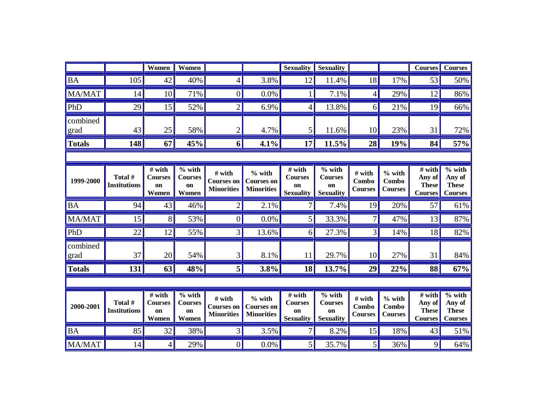|                  |                                | Women                                                 | Women                                     |                                                  |                                                    | <b>Sexuality</b>                                                 | <b>Sexuality</b>                                     |                                          |                                     | <b>Courses</b>                                       | <b>Courses</b>                                                     |
|------------------|--------------------------------|-------------------------------------------------------|-------------------------------------------|--------------------------------------------------|----------------------------------------------------|------------------------------------------------------------------|------------------------------------------------------|------------------------------------------|-------------------------------------|------------------------------------------------------|--------------------------------------------------------------------|
| <b>BA</b>        | 105                            | 42                                                    | 40%                                       | 4                                                | 3.8%                                               | 12                                                               | 11.4%                                                | 18                                       | 17%                                 | 53                                                   | 50%                                                                |
| MA/MAT           | 14                             | 10                                                    | 71%                                       | $\theta$                                         | 0.0%                                               |                                                                  | 7.1%                                                 | 4                                        | 29%                                 | 12                                                   | 86%                                                                |
| PhD              | 29                             | 15                                                    | 52%                                       | $\overline{2}$                                   | 6.9%                                               | 4                                                                | 13.8%                                                | 6                                        | 21%                                 | 19                                                   | 66%                                                                |
| combined<br>grad | 43                             | 25                                                    | 58%                                       |                                                  | 4.7%                                               | 5                                                                | 11.6%                                                | 10                                       | 23%                                 | 31                                                   | 72%                                                                |
| <b>Totals</b>    | 148                            | 67                                                    | 45%                                       | 6                                                | 4.1%                                               | 17                                                               | 11.5%                                                | 28                                       | 19%                                 | 84                                                   | 57%                                                                |
|                  |                                |                                                       |                                           |                                                  |                                                    |                                                                  |                                                      |                                          |                                     |                                                      |                                                                    |
| 1999-2000        | Total #<br><b>Institutions</b> | # with<br><b>Courses</b><br>on<br>Women               | $%$ with<br><b>Courses</b><br>on<br>Women | # with<br>Courses on<br><b>Minorities</b>        | $%$ with<br><b>Courses on</b><br><b>Minorities</b> | # with<br><b>Courses</b><br>on<br><b>Sexuality</b>               | $%$ with<br><b>Courses</b><br>on<br><b>Sexuality</b> | # with<br>Combo<br><b>Courses</b>        | $%$ with<br>Combo<br><b>Courses</b> | $#$ with<br>Any of<br><b>These</b><br><b>Courses</b> | $%$ with<br>Any of<br><b>These</b><br><b>Courses</b>               |
| <b>BA</b>        | 94                             | 43                                                    | 46%                                       |                                                  | 2.1%                                               |                                                                  | 7.4%                                                 | 19                                       | 20%                                 | 57                                                   | 61%                                                                |
| MA/MAT           | 15                             | 8                                                     | 53%                                       | $\overline{0}$                                   | 0.0%                                               | 5                                                                | 33.3%                                                |                                          | 47%                                 | 13                                                   | 87%                                                                |
| PhD              | 22                             | 12                                                    | 55%                                       | 3                                                | 13.6%                                              | 6                                                                | 27.3%                                                | 3                                        | 14%                                 | 18                                                   | 82%                                                                |
| combined<br>grad | 37                             | 20                                                    | 54%                                       | 3                                                | 8.1%                                               | 11                                                               | 29.7%                                                | 10                                       | 27%                                 | 31                                                   | 84%                                                                |
| <b>Totals</b>    | 131                            | 63                                                    | 48%                                       | 5                                                | 3.8%                                               | 18                                                               | 13.7%                                                | 29                                       | 22%                                 | 88                                                   | 67%                                                                |
|                  |                                |                                                       |                                           |                                                  |                                                    |                                                                  |                                                      |                                          |                                     |                                                      |                                                                    |
| 2000-2001        | Total #<br><b>Institutions</b> | $\overline{\#}$ with<br><b>Courses</b><br>on<br>Women | $%$ with<br><b>Courses</b><br>on<br>Women | # with<br><b>Courses on</b><br><b>Minorities</b> | $%$ with<br><b>Courses on</b><br><b>Minorities</b> | $\overline{\#}$ with<br><b>Courses</b><br>on<br><b>Sexuality</b> | $%$ with<br><b>Courses</b><br>on<br><b>Sexuality</b> | # with<br><b>Combo</b><br><b>Courses</b> | $%$ with<br>Combo<br><b>Courses</b> | # with<br>Any of<br><b>These</b><br><b>Courses</b>   | $\overline{\frac{9}{6}}$ with<br>Any of<br><b>These</b><br>Courses |
| <b>BA</b>        | 85                             | 32                                                    | 38%                                       | $\overline{3}$                                   | 3.5%                                               |                                                                  | 8.2%                                                 | 15                                       | 18%                                 | 43                                                   | 51%                                                                |
| MA/MAT           | 14                             | 4                                                     | 29%                                       | $\boldsymbol{0}$                                 | 0.0%                                               | 5                                                                | 35.7%                                                | 5                                        | 36%                                 | 9                                                    | 64%                                                                |